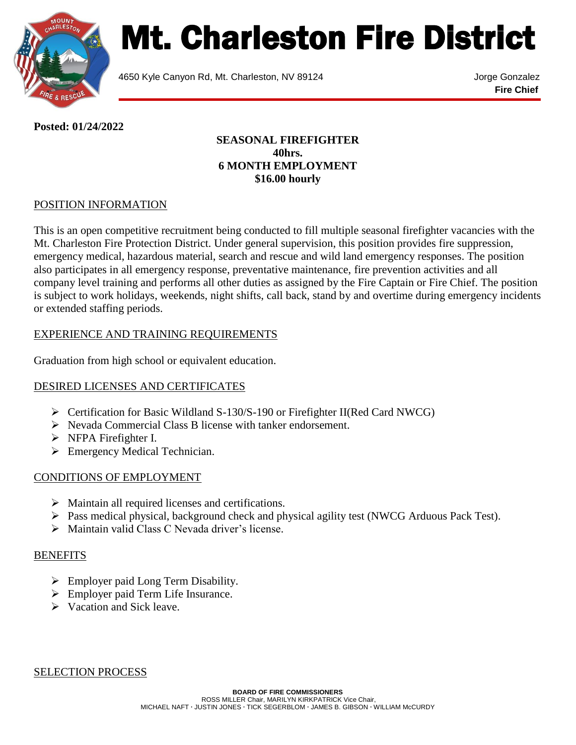

# Mt. Charleston Fire District

4650 Kyle Canyon Rd, Mt. Charleston, NV 89124 Jorge Gonzalez

**Fire Chief**

**Posted: 01/24/2022**

### **SEASONAL FIREFIGHTER 40hrs. 6 MONTH EMPLOYMENT \$16.00 hourly**

# POSITION INFORMATION

This is an open competitive recruitment being conducted to fill multiple seasonal firefighter vacancies with the Mt. Charleston Fire Protection District. Under general supervision, this position provides fire suppression, emergency medical, hazardous material, search and rescue and wild land emergency responses. The position also participates in all emergency response, preventative maintenance, fire prevention activities and all company level training and performs all other duties as assigned by the Fire Captain or Fire Chief. The position is subject to work holidays, weekends, night shifts, call back, stand by and overtime during emergency incidents or extended staffing periods.

# EXPERIENCE AND TRAINING REQUIREMENTS

Graduation from high school or equivalent education.

#### DESIRED LICENSES AND CERTIFICATES

- $\triangleright$  Certification for Basic Wildland S-130/S-190 or Firefighter II(Red Card NWCG)
- Nevada Commercial Class B license with tanker endorsement.
- > NFPA Firefighter I.
- **Emergency Medical Technician.**

#### CONDITIONS OF EMPLOYMENT

- $\triangleright$  Maintain all required licenses and certifications.
- Pass medical physical, background check and physical agility test (NWCG Arduous Pack Test).
- $\triangleright$  Maintain valid Class C Nevada driver's license.

#### **BENEFITS**

- $\triangleright$  Employer paid Long Term Disability.
- Employer paid Term Life Insurance.
- $\triangleright$  Vacation and Sick leave.

SELECTION PROCESS